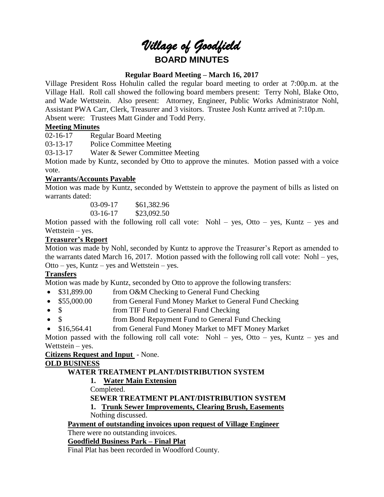# *Village of Goodfield* **BOARD MINUTES**

# **Regular Board Meeting – March 16, 2017**

Village President Ross Hohulin called the regular board meeting to order at 7:00p.m. at the Village Hall. Roll call showed the following board members present: Terry Nohl, Blake Otto, and Wade Wettstein. Also present: Attorney, Engineer, Public Works Administrator Nohl, Assistant PWA Carr, Clerk, Treasurer and 3 visitors. Trustee Josh Kuntz arrived at 7:10p.m. Absent were: Trustees Matt Ginder and Todd Perry.

# **Meeting Minutes**

02-16-17 Regular Board Meeting

03-13-17 Police Committee Meeting

03-13-17 Water & Sewer Committee Meeting

Motion made by Kuntz, seconded by Otto to approve the minutes. Motion passed with a voice vote.

# **Warrants/Accounts Payable**

Motion was made by Kuntz, seconded by Wettstein to approve the payment of bills as listed on warrants dated:

> 03-09-17 \$61,382.96 03-16-17 \$23,092.50

Motion passed with the following roll call vote: Nohl – yes, Otto – yes, Kuntz – yes and Wettstein – yes.

# **Treasurer's Report**

Motion was made by Nohl, seconded by Kuntz to approve the Treasurer's Report as amended to the warrants dated March 16, 2017. Motion passed with the following roll call vote: Nohl – yes, Otto – yes, Kuntz – yes and Wettstein – yes.

# **Transfers**

Motion was made by Kuntz, seconded by Otto to approve the following transfers:

- \$31,899.00 from O&M Checking to General Fund Checking
- \$55,000.00 from General Fund Money Market to General Fund Checking
- \$ from TIF Fund to General Fund Checking
- \$ from Bond Repayment Fund to General Fund Checking
- \$16,564.41 from General Fund Money Market to MFT Money Market

Motion passed with the following roll call vote: Nohl – yes, Otto – yes, Kuntz – yes and Wettstein – yes.

# **Citizens Request and Input** - None.

#### **OLD BUSINESS**

# **WATER TREATMENT PLANT/DISTRIBUTION SYSTEM**

**1. Water Main Extension**

Completed.

# **SEWER TREATMENT PLANT/DISTRIBUTION SYSTEM**

**1. Trunk Sewer Improvements, Clearing Brush, Easements**

Nothing discussed.

# **Payment of outstanding invoices upon request of Village Engineer**

# There were no outstanding invoices.

# **Goodfield Business Park – Final Plat**

Final Plat has been recorded in Woodford County.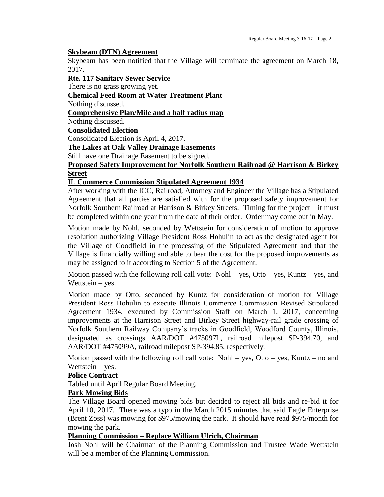#### **Skybeam (DTN) Agreement**

Skybeam has been notified that the Village will terminate the agreement on March 18, 2017.

**Rte. 117 Sanitary Sewer Service**

There is no grass growing yet.

**Chemical Feed Room at Water Treatment Plant**

Nothing discussed.

**Comprehensive Plan/Mile and a half radius map**

Nothing discussed.

**Consolidated Election**

Consolidated Election is April 4, 2017.

**The Lakes at Oak Valley Drainage Easements**

Still have one Drainage Easement to be signed.

# **Proposed Safety Improvement for Norfolk Southern Railroad @ Harrison & Birkey Street**

#### **IL Commerce Commission Stipulated Agreement 1934**

After working with the ICC, Railroad, Attorney and Engineer the Village has a Stipulated Agreement that all parties are satisfied with for the proposed safety improvement for Norfolk Southern Railroad at Harrison & Birkey Streets. Timing for the project – it must be completed within one year from the date of their order. Order may come out in May.

Motion made by Nohl, seconded by Wettstein for consideration of motion to approve resolution authorizing Village President Ross Hohulin to act as the designated agent for the Village of Goodfield in the processing of the Stipulated Agreement and that the Village is financially willing and able to bear the cost for the proposed improvements as may be assigned to it according to Section 5 of the Agreement.

Motion passed with the following roll call vote:  $Nohl - yes$ ,  $Otto - yes$ ,  $Kuntz - yes$ , and Wettstein – yes.

Motion made by Otto, seconded by Kuntz for consideration of motion for Village President Ross Hohulin to execute Illinois Commerce Commission Revised Stipulated Agreement 1934, executed by Commission Staff on March 1, 2017, concerning improvements at the Harrison Street and Birkey Street highway-rail grade crossing of Norfolk Southern Railway Company's tracks in Goodfield, Woodford County, Illinois, designated as crossings AAR/DOT #475097L, railroad milepost SP-394.70, and AAR/DOT #475099A, railroad milepost SP-394.85, respectively.

Motion passed with the following roll call vote: Nohl – yes, Otto – yes, Kuntz – no and Wettstein – yes.

# **Police Contract**

Tabled until April Regular Board Meeting.

#### **Park Mowing Bids**

The Village Board opened mowing bids but decided to reject all bids and re-bid it for April 10, 2017. There was a typo in the March 2015 minutes that said Eagle Enterprise (Brent Zoss) was mowing for \$975/mowing the park. It should have read \$975/month for mowing the park.

#### **Planning Commission – Replace William Ulrich, Chairman**

Josh Nohl will be Chairman of the Planning Commission and Trustee Wade Wettstein will be a member of the Planning Commission.